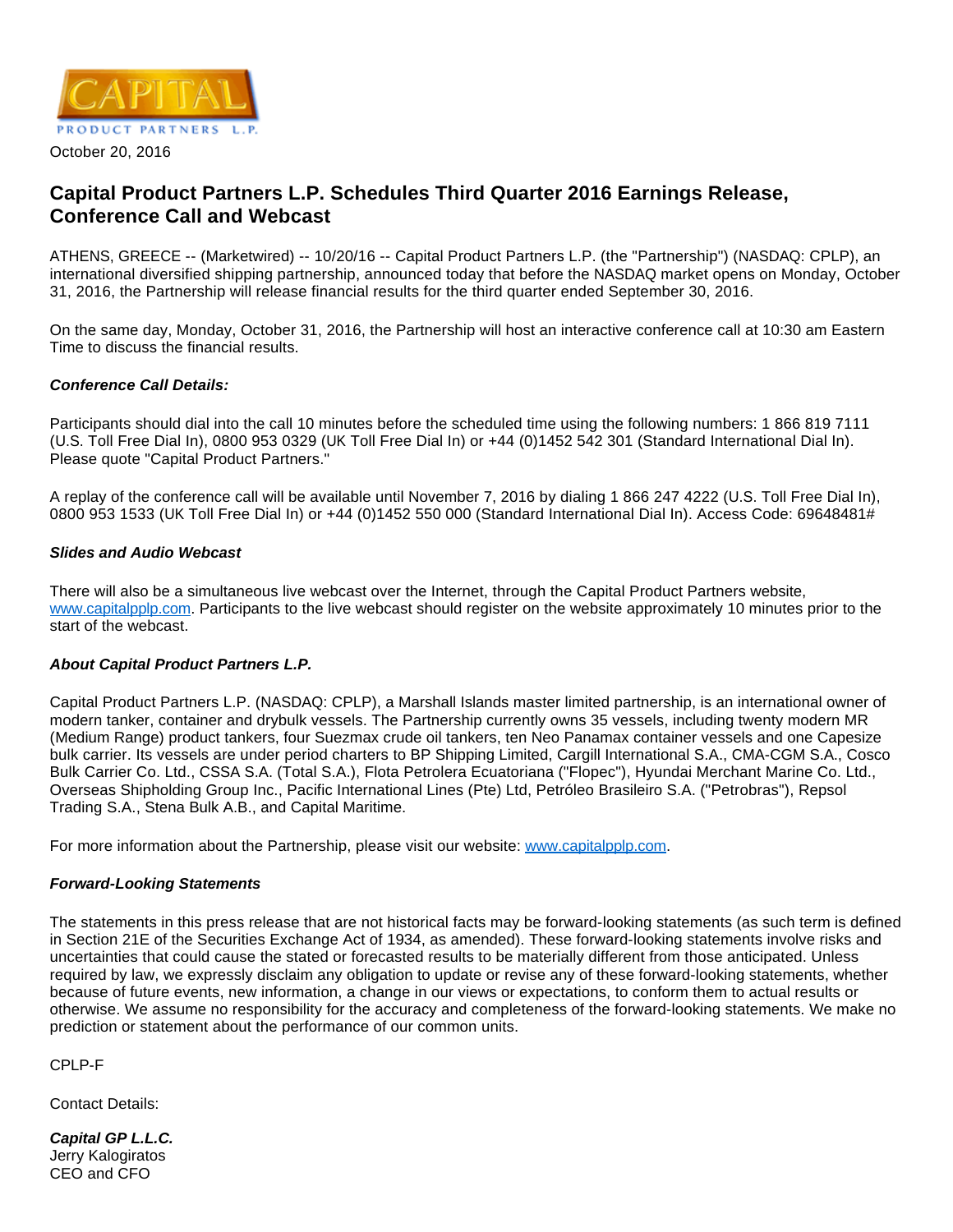

#### October 20, 2016

# **Capital Product Partners L.P. Schedules Third Quarter 2016 Earnings Release, Conference Call and Webcast**

ATHENS, GREECE -- (Marketwired) -- 10/20/16 -- Capital Product Partners L.P. (the "Partnership") (NASDAQ: CPLP), an international diversified shipping partnership, announced today that before the NASDAQ market opens on Monday, October 31, 2016, the Partnership will release financial results for the third quarter ended September 30, 2016.

On the same day, Monday, October 31, 2016, the Partnership will host an interactive conference call at 10:30 am Eastern Time to discuss the financial results.

## **Conference Call Details:**

Participants should dial into the call 10 minutes before the scheduled time using the following numbers: 1 866 819 7111 (U.S. Toll Free Dial In), 0800 953 0329 (UK Toll Free Dial In) or +44 (0)1452 542 301 (Standard International Dial In). Please quote "Capital Product Partners."

A replay of the conference call will be available until November 7, 2016 by dialing 1 866 247 4222 (U.S. Toll Free Dial In), 0800 953 1533 (UK Toll Free Dial In) or +44 (0)1452 550 000 (Standard International Dial In). Access Code: 69648481#

## **Slides and Audio Webcast**

There will also be a simultaneous live webcast over the Internet, through the Capital Product Partners website, [www.capitalpplp.com.](http://www.capitalpplp.com/) Participants to the live webcast should register on the website approximately 10 minutes prior to the start of the webcast.

## **About Capital Product Partners L.P.**

Capital Product Partners L.P. (NASDAQ: CPLP), a Marshall Islands master limited partnership, is an international owner of modern tanker, container and drybulk vessels. The Partnership currently owns 35 vessels, including twenty modern MR (Medium Range) product tankers, four Suezmax crude oil tankers, ten Neo Panamax container vessels and one Capesize bulk carrier. Its vessels are under period charters to BP Shipping Limited, Cargill International S.A., CMA-CGM S.A., Cosco Bulk Carrier Co. Ltd., CSSA S.A. (Total S.A.), Flota Petrolera Ecuatoriana ("Flopec"), Hyundai Merchant Marine Co. Ltd., Overseas Shipholding Group Inc., Pacific International Lines (Pte) Ltd, Petróleo Brasileiro S.A. ("Petrobras"), Repsol Trading S.A., Stena Bulk A.B., and Capital Maritime.

For more information about the Partnership, please visit our website: [www.capitalpplp.com](http://www.capitalpplp.com/).

## **Forward-Looking Statements**

The statements in this press release that are not historical facts may be forward-looking statements (as such term is defined in Section 21E of the Securities Exchange Act of 1934, as amended). These forward-looking statements involve risks and uncertainties that could cause the stated or forecasted results to be materially different from those anticipated. Unless required by law, we expressly disclaim any obligation to update or revise any of these forward-looking statements, whether because of future events, new information, a change in our views or expectations, to conform them to actual results or otherwise. We assume no responsibility for the accuracy and completeness of the forward-looking statements. We make no prediction or statement about the performance of our common units.

CPLP-F

Contact Details:

**Capital GP L.L.C.** Jerry Kalogiratos CEO and CFO